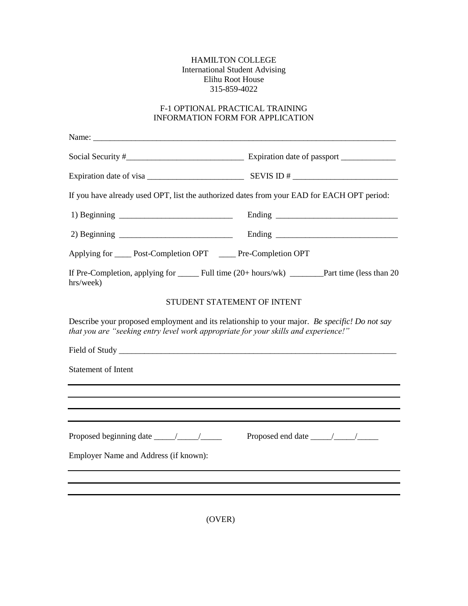## HAMILTON COLLEGE International Student Advising Elihu Root House 315-859-4022

## F-1 OPTIONAL PRACTICAL TRAINING INFORMATION FORM FOR APPLICATION

| If you have already used OPT, list the authorized dates from your EAD for EACH OPT period:                                                                                           |                                                                                                                                                                                                                                                                                                                                                                                                                |  |  |  |
|--------------------------------------------------------------------------------------------------------------------------------------------------------------------------------------|----------------------------------------------------------------------------------------------------------------------------------------------------------------------------------------------------------------------------------------------------------------------------------------------------------------------------------------------------------------------------------------------------------------|--|--|--|
|                                                                                                                                                                                      |                                                                                                                                                                                                                                                                                                                                                                                                                |  |  |  |
|                                                                                                                                                                                      |                                                                                                                                                                                                                                                                                                                                                                                                                |  |  |  |
| Applying for ______ Post-Completion OPT _______ Pre-Completion OPT                                                                                                                   |                                                                                                                                                                                                                                                                                                                                                                                                                |  |  |  |
| hrs/week)                                                                                                                                                                            |                                                                                                                                                                                                                                                                                                                                                                                                                |  |  |  |
|                                                                                                                                                                                      | STUDENT STATEMENT OF INTENT                                                                                                                                                                                                                                                                                                                                                                                    |  |  |  |
| Describe your proposed employment and its relationship to your major. Be specific! Do not say<br>that you are "seeking entry level work appropriate for your skills and experience!" |                                                                                                                                                                                                                                                                                                                                                                                                                |  |  |  |
|                                                                                                                                                                                      |                                                                                                                                                                                                                                                                                                                                                                                                                |  |  |  |
| <b>Statement of Intent</b>                                                                                                                                                           |                                                                                                                                                                                                                                                                                                                                                                                                                |  |  |  |
|                                                                                                                                                                                      |                                                                                                                                                                                                                                                                                                                                                                                                                |  |  |  |
|                                                                                                                                                                                      |                                                                                                                                                                                                                                                                                                                                                                                                                |  |  |  |
|                                                                                                                                                                                      | Proposed end date $\frac{1}{\sqrt{1-\frac{1}{2}}}\frac{1}{\sqrt{1-\frac{1}{2}}}\frac{1}{\sqrt{1-\frac{1}{2}}}\frac{1}{\sqrt{1-\frac{1}{2}}}\frac{1}{\sqrt{1-\frac{1}{2}}}\frac{1}{\sqrt{1-\frac{1}{2}}}\frac{1}{\sqrt{1-\frac{1}{2}}}\frac{1}{\sqrt{1-\frac{1}{2}}}\frac{1}{\sqrt{1-\frac{1}{2}}}\frac{1}{\sqrt{1-\frac{1}{2}}}\frac{1}{\sqrt{1-\frac{1}{2}}}\frac{1}{\sqrt{1-\frac{1}{2}}}\frac{1}{\sqrt{1-\$ |  |  |  |
| Employer Name and Address (if known):                                                                                                                                                |                                                                                                                                                                                                                                                                                                                                                                                                                |  |  |  |
|                                                                                                                                                                                      |                                                                                                                                                                                                                                                                                                                                                                                                                |  |  |  |
|                                                                                                                                                                                      |                                                                                                                                                                                                                                                                                                                                                                                                                |  |  |  |

(OVER)